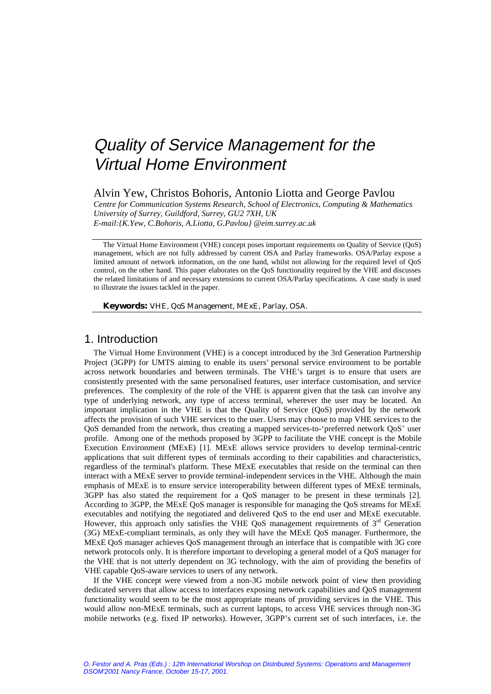# Quality of Service Management for the Virtual Home Environment

Alvin Yew, Christos Bohoris, Antonio Liotta and George Pavlou *Centre for Communication Systems Research, School of Electronics, Computing & Mathematics University of Surrey, Guildford, Surrey, GU2 7XH, UK E-mail:{K.Yew, C.Bohoris, A.Liotta, G.Pavlou} @eim.surrey.ac.uk* 

The Virtual Home Environment (VHE) concept poses important requirements on Quality of Service (QoS) management, which are not fully addressed by current OSA and Parlay frameworks. OSA/Parlay expose a limited amount of network information, on the one hand, whilst not allowing for the required level of QoS control, on the other hand. This paper elaborates on the QoS functionality required by the VHE and discusses the related limitations of and necessary extensions to current OSA/Parlay specifications. A case study is used to illustrate the issues tackled in the paper.

**Keywords:** VHE, QoS Management, MExE, Parlay, OSA.

# 1. Introduction

The Virtual Home Environment (VHE) is a concept introduced by the 3rd Generation Partnership Project (3GPP) for UMTS aiming to enable its users' personal service environment to be portable across network boundaries and between terminals. The VHE's target is to ensure that users are consistently presented with the same personalised features, user interface customisation, and service preferences. The complexity of the role of the VHE is apparent given that the task can involve any type of underlying network, any type of access terminal, wherever the user may be located. An important implication in the VHE is that the Quality of Service (QoS) provided by the network affects the provision of such VHE services to the user. Users may choose to map VHE services to the QoS demanded from the network, thus creating a mapped services-to-'preferred network QoS' user profile. Among one of the methods proposed by 3GPP to facilitate the VHE concept is the Mobile Execution Environment (MExE) [1]. MExE allows service providers to develop terminal-centric applications that suit different types of terminals according to their capabilities and characteristics, regardless of the terminal's platform. These MExE executables that reside on the terminal can then interact with a MExE server to provide terminal-independent services in the VHE. Although the main emphasis of MExE is to ensure service interoperability between different types of MExE terminals, 3GPP has also stated the requirement for a QoS manager to be present in these terminals [2]. According to 3GPP, the MExE QoS manager is responsible for managing the QoS streams for MExE executables and notifying the negotiated and delivered QoS to the end user and MExE executable. However, this approach only satisfies the VHE QoS management requirements of  $3<sup>rd</sup>$  Generation (3G) MExE-compliant terminals, as only they will have the MExE QoS manager. Furthermore, the MExE QoS manager achieves QoS management through an interface that is compatible with 3G core network protocols only. It is therefore important to developing a general model of a QoS manager for the VHE that is not utterly dependent on 3G technology, with the aim of providing the benefits of VHE capable QoS-aware services to users of any network.

If the VHE concept were viewed from a non-3G mobile network point of view then providing dedicated servers that allow access to interfaces exposing network capabilities and QoS management functionality would seem to be the most appropriate means of providing services in the VHE. This would allow non-MExE terminals, such as current laptops, to access VHE services through non-3G mobile networks (e.g. fixed IP networks). However, 3GPP's current set of such interfaces, i.e. the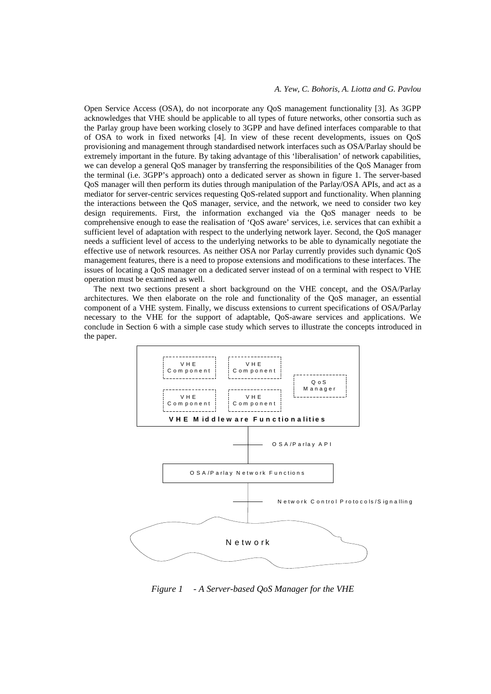#### *A. Yew, C. Bohoris, A. Liotta and G. Pavlou*

Open Service Access (OSA), do not incorporate any QoS management functionality [3]. As 3GPP acknowledges that VHE should be applicable to all types of future networks, other consortia such as the Parlay group have been working closely to 3GPP and have defined interfaces comparable to that of OSA to work in fixed networks [4]. In view of these recent developments, issues on QoS provisioning and management through standardised network interfaces such as OSA/Parlay should be extremely important in the future. By taking advantage of this 'liberalisation' of network capabilities, we can develop a general QoS manager by transferring the responsibilities of the QoS Manager from the terminal (i.e. 3GPP's approach) onto a dedicated server as shown in figure 1. The server-based QoS manager will then perform its duties through manipulation of the Parlay/OSA APIs, and act as a mediator for server-centric services requesting QoS-related support and functionality. When planning the interactions between the QoS manager, service, and the network, we need to consider two key design requirements. First, the information exchanged via the QoS manager needs to be comprehensive enough to ease the realisation of 'QoS aware' services, i.e. services that can exhibit a sufficient level of adaptation with respect to the underlying network layer. Second, the QoS manager needs a sufficient level of access to the underlying networks to be able to dynamically negotiate the effective use of network resources. As neither OSA nor Parlay currently provides such dynamic QoS management features, there is a need to propose extensions and modifications to these interfaces. The issues of locating a QoS manager on a dedicated server instead of on a terminal with respect to VHE operation must be examined as well.

The next two sections present a short background on the VHE concept, and the OSA/Parlay architectures. We then elaborate on the role and functionality of the QoS manager, an essential component of a VHE system. Finally, we discuss extensions to current specifications of OSA/Parlay necessary to the VHE for the support of adaptable, QoS-aware services and applications. We conclude in Section 6 with a simple case study which serves to illustrate the concepts introduced in the paper.



*Figure 1 - A Server-based QoS Manager for the VHE*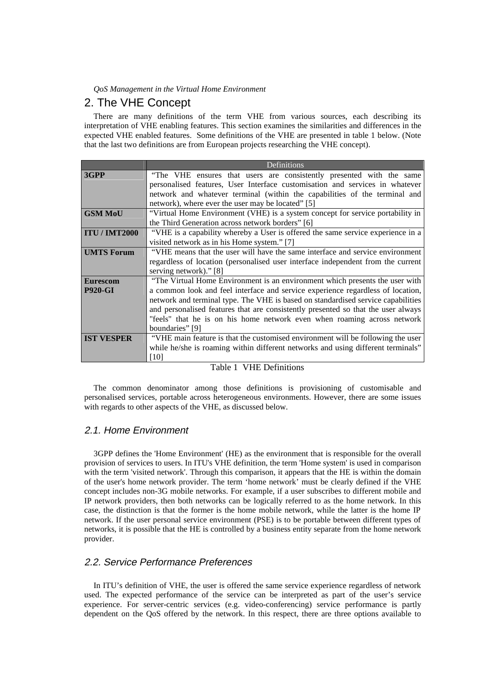# 2. The VHE Concept

There are many definitions of the term VHE from various sources, each describing its interpretation of VHE enabling features. This section examines the similarities and differences in the expected VHE enabled features. Some definitions of the VHE are presented in table 1 below. (Note that the last two definitions are from European projects researching the VHE concept).

|                      | Definitions                                                                       |  |  |  |  |
|----------------------|-----------------------------------------------------------------------------------|--|--|--|--|
| 3GPP                 | "The VHE ensures that users are consistently presented with the same              |  |  |  |  |
|                      | personalised features, User Interface customisation and services in whatever      |  |  |  |  |
|                      | network and whatever terminal (within the capabilities of the terminal and        |  |  |  |  |
|                      | network), where ever the user may be located" [5]                                 |  |  |  |  |
| <b>GSM MoU</b>       | "Virtual Home Environment (VHE) is a system concept for service portability in    |  |  |  |  |
|                      | the Third Generation across network borders" [6]                                  |  |  |  |  |
| <b>ITU / IMT2000</b> | "VHE is a capability whereby a User is offered the same service experience in a   |  |  |  |  |
|                      | visited network as in his Home system." [7]                                       |  |  |  |  |
| <b>UMTS Forum</b>    | "VHE means that the user will have the same interface and service environment     |  |  |  |  |
|                      | regardless of location (personalised user interface independent from the current  |  |  |  |  |
|                      | serving network)." [8]                                                            |  |  |  |  |
| <b>Eurescom</b>      | "The Virtual Home Environment is an environment which presents the user with      |  |  |  |  |
| <b>P920-GI</b>       | a common look and feel interface and service experience regardless of location,   |  |  |  |  |
|                      | network and terminal type. The VHE is based on standardised service capabilities  |  |  |  |  |
|                      | and personalised features that are consistently presented so that the user always |  |  |  |  |
|                      | "feels" that he is on his home network even when roaming across network           |  |  |  |  |
|                      | boundaries" [9]                                                                   |  |  |  |  |
| <b>IST VESPER</b>    | "VHE main feature is that the customised environment will be following the user   |  |  |  |  |
|                      | while he/she is roaming within different networks and using different terminals"  |  |  |  |  |
|                      | $[10]$                                                                            |  |  |  |  |

#### Table 1 VHE Definitions

The common denominator among those definitions is provisioning of customisable and personalised services, portable across heterogeneous environments. However, there are some issues with regards to other aspects of the VHE, as discussed below.

## 2.1. Home Environment

3GPP defines the 'Home Environment' (HE) as the environment that is responsible for the overall provision of services to users. In ITU's VHE definition, the term 'Home system' is used in comparison with the term 'visited network'. Through this comparison, it appears that the HE is within the domain of the user's home network provider. The term 'home network' must be clearly defined if the VHE concept includes non-3G mobile networks. For example, if a user subscribes to different mobile and IP network providers, then both networks can be logically referred to as the home network. In this case, the distinction is that the former is the home mobile network, while the latter is the home IP network. If the user personal service environment (PSE) is to be portable between different types of networks, it is possible that the HE is controlled by a business entity separate from the home network provider.

## 2.2. Service Performance Preferences

In ITU's definition of VHE, the user is offered the same service experience regardless of network used. The expected performance of the service can be interpreted as part of the user's service experience. For server-centric services (e.g. video-conferencing) service performance is partly dependent on the QoS offered by the network. In this respect, there are three options available to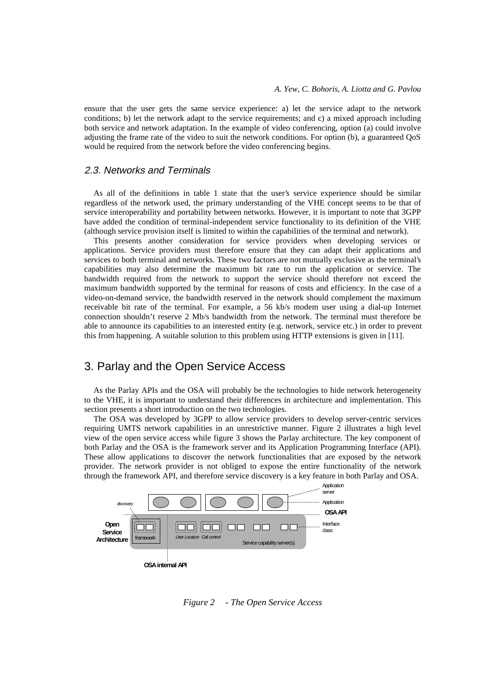ensure that the user gets the same service experience: a) let the service adapt to the network conditions; b) let the network adapt to the service requirements; and c) a mixed approach including both service and network adaptation. In the example of video conferencing, option (a) could involve adjusting the frame rate of the video to suit the network conditions. For option (b), a guaranteed QoS would be required from the network before the video conferencing begins.

## 2.3. Networks and Terminals

As all of the definitions in table 1 state that the user's service experience should be similar regardless of the network used, the primary understanding of the VHE concept seems to be that of service interoperability and portability between networks. However, it is important to note that 3GPP have added the condition of terminal-independent service functionality to its definition of the VHE (although service provision itself is limited to within the capabilities of the terminal and network).

This presents another consideration for service providers when developing services or applications. Service providers must therefore ensure that they can adapt their applications and services to both terminal and networks. These two factors are not mutually exclusive as the terminal's capabilities may also determine the maximum bit rate to run the application or service. The bandwidth required from the network to support the service should therefore not exceed the maximum bandwidth supported by the terminal for reasons of costs and efficiency. In the case of a video-on-demand service, the bandwidth reserved in the network should complement the maximum receivable bit rate of the terminal. For example, a 56 kb/s modem user using a dial-up Internet connection shouldn't reserve 2 Mb/s bandwidth from the network. The terminal must therefore be able to announce its capabilities to an interested entity (e.g. network, service etc.) in order to prevent this from happening. A suitable solution to this problem using HTTP extensions is given in [11].

# 3. Parlay and the Open Service Access

As the Parlay APIs and the OSA will probably be the technologies to hide network heterogeneity to the VHE, it is important to understand their differences in architecture and implementation. This section presents a short introduction on the two technologies.

The OSA was developed by 3GPP to allow service providers to develop server-centric services requiring UMTS network capabilities in an unrestrictive manner. Figure 2 illustrates a high level view of the open service access while figure 3 shows the Parlay architecture. The key component of both Parlay and the OSA is the framework server and its Application Programming Interface (API). These allow applications to discover the network functionalities that are exposed by the network provider. The network provider is not obliged to expose the entire functionality of the network through the framework API, and therefore service discovery is a key feature in both Parlay and OSA.



*Figure 2 - The Open Service Access*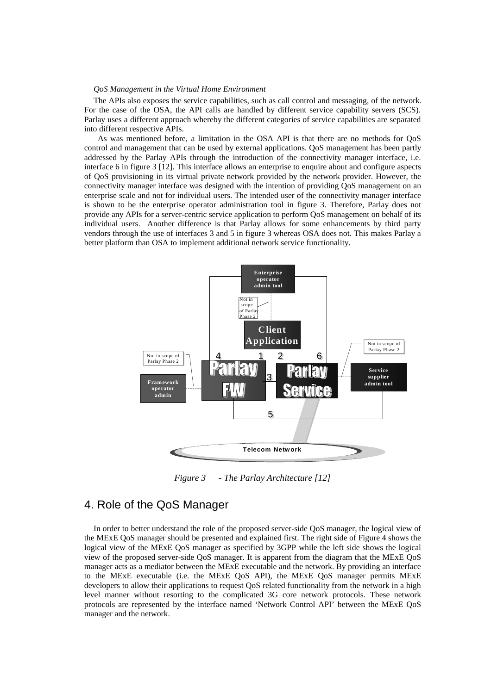The APIs also exposes the service capabilities, such as call control and messaging, of the network. For the case of the OSA, the API calls are handled by different service capability servers (SCS). Parlay uses a different approach whereby the different categories of service capabilities are separated into different respective APIs.

 As was mentioned before, a limitation in the OSA API is that there are no methods for QoS control and management that can be used by external applications. QoS management has been partly addressed by the Parlay APIs through the introduction of the connectivity manager interface, i.e. interface 6 in figure 3 [12]. This interface allows an enterprise to enquire about and configure aspects of QoS provisioning in its virtual private network provided by the network provider. However, the connectivity manager interface was designed with the intention of providing QoS management on an enterprise scale and not for individual users. The intended user of the connectivity manager interface is shown to be the enterprise operator administration tool in figure 3. Therefore, Parlay does not provide any APIs for a server-centric service application to perform QoS management on behalf of its individual users. Another difference is that Parlay allows for some enhancements by third party vendors through the use of interfaces 3 and 5 in figure 3 whereas OSA does not. This makes Parlay a better platform than OSA to implement additional network service functionality.



*Figure 3 - The Parlay Architecture [12]* 

# 4. Role of the QoS Manager

In order to better understand the role of the proposed server-side QoS manager, the logical view of the MExE QoS manager should be presented and explained first. The right side of Figure 4 shows the logical view of the MExE QoS manager as specified by 3GPP while the left side shows the logical view of the proposed server-side QoS manager. It is apparent from the diagram that the MExE QoS manager acts as a mediator between the MExE executable and the network. By providing an interface to the MExE executable (i.e. the MExE QoS API), the MExE QoS manager permits MExE developers to allow their applications to request QoS related functionality from the network in a high level manner without resorting to the complicated 3G core network protocols. These network protocols are represented by the interface named 'Network Control API' between the MExE QoS manager and the network.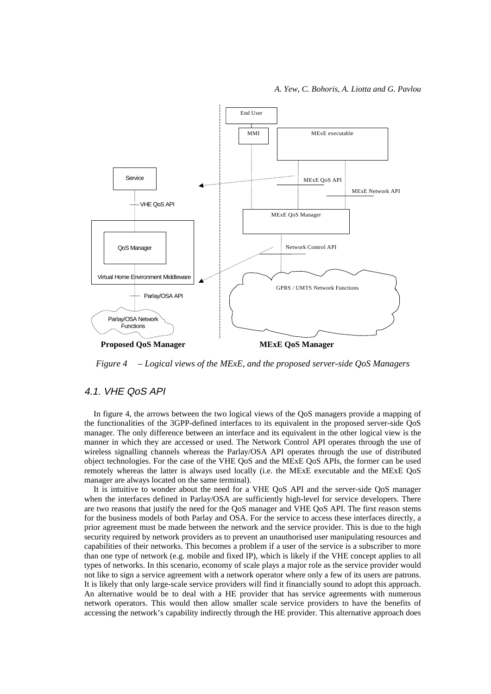

*Figure 4 – Logical views of the MExE, and the proposed server-side QoS Managers* 

#### 4.1. VHE QoS API

In figure 4, the arrows between the two logical views of the QoS managers provide a mapping of the functionalities of the 3GPP-defined interfaces to its equivalent in the proposed server-side QoS manager. The only difference between an interface and its equivalent in the other logical view is the manner in which they are accessed or used. The Network Control API operates through the use of wireless signalling channels whereas the Parlay/OSA API operates through the use of distributed object technologies. For the case of the VHE QoS and the MExE QoS APIs, the former can be used remotely whereas the latter is always used locally (i.e. the MExE executable and the MExE QoS manager are always located on the same terminal).

It is intuitive to wonder about the need for a VHE QoS API and the server-side QoS manager when the interfaces defined in Parlay/OSA are sufficiently high-level for service developers. There are two reasons that justify the need for the QoS manager and VHE QoS API. The first reason stems for the business models of both Parlay and OSA. For the service to access these interfaces directly, a prior agreement must be made between the network and the service provider. This is due to the high security required by network providers as to prevent an unauthorised user manipulating resources and capabilities of their networks. This becomes a problem if a user of the service is a subscriber to more than one type of network (e.g. mobile and fixed IP), which is likely if the VHE concept applies to all types of networks. In this scenario, economy of scale plays a major role as the service provider would not like to sign a service agreement with a network operator where only a few of its users are patrons. It is likely that only large-scale service providers will find it financially sound to adopt this approach. An alternative would be to deal with a HE provider that has service agreements with numerous network operators. This would then allow smaller scale service providers to have the benefits of accessing the network's capability indirectly through the HE provider. This alternative approach does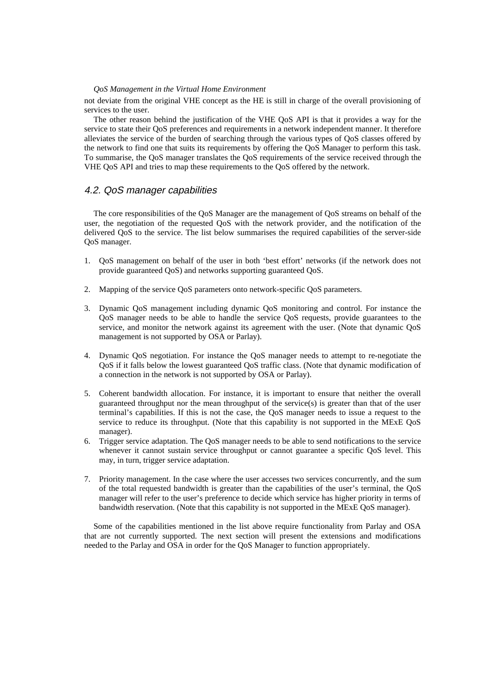not deviate from the original VHE concept as the HE is still in charge of the overall provisioning of services to the user.

The other reason behind the justification of the VHE QoS API is that it provides a way for the service to state their QoS preferences and requirements in a network independent manner. It therefore alleviates the service of the burden of searching through the various types of QoS classes offered by the network to find one that suits its requirements by offering the QoS Manager to perform this task. To summarise, the QoS manager translates the QoS requirements of the service received through the VHE QoS API and tries to map these requirements to the QoS offered by the network.

#### 4.2. QoS manager capabilities

The core responsibilities of the QoS Manager are the management of QoS streams on behalf of the user, the negotiation of the requested QoS with the network provider, and the notification of the delivered QoS to the service. The list below summarises the required capabilities of the server-side QoS manager.

- 1. QoS management on behalf of the user in both 'best effort' networks (if the network does not provide guaranteed QoS) and networks supporting guaranteed QoS.
- 2. Mapping of the service QoS parameters onto network-specific QoS parameters.
- 3. Dynamic QoS management including dynamic QoS monitoring and control. For instance the QoS manager needs to be able to handle the service QoS requests, provide guarantees to the service, and monitor the network against its agreement with the user. (Note that dynamic QoS management is not supported by OSA or Parlay).
- 4. Dynamic QoS negotiation. For instance the QoS manager needs to attempt to re-negotiate the QoS if it falls below the lowest guaranteed QoS traffic class. (Note that dynamic modification of a connection in the network is not supported by OSA or Parlay).
- 5. Coherent bandwidth allocation. For instance, it is important to ensure that neither the overall guaranteed throughput nor the mean throughput of the service(s) is greater than that of the user terminal's capabilities. If this is not the case, the QoS manager needs to issue a request to the service to reduce its throughput. (Note that this capability is not supported in the MExE QoS manager).
- 6. Trigger service adaptation. The QoS manager needs to be able to send notifications to the service whenever it cannot sustain service throughput or cannot guarantee a specific QoS level. This may, in turn, trigger service adaptation.
- 7. Priority management. In the case where the user accesses two services concurrently, and the sum of the total requested bandwidth is greater than the capabilities of the user's terminal, the QoS manager will refer to the user's preference to decide which service has higher priority in terms of bandwidth reservation. (Note that this capability is not supported in the MExE QoS manager).

Some of the capabilities mentioned in the list above require functionality from Parlay and OSA that are not currently supported. The next section will present the extensions and modifications needed to the Parlay and OSA in order for the QoS Manager to function appropriately.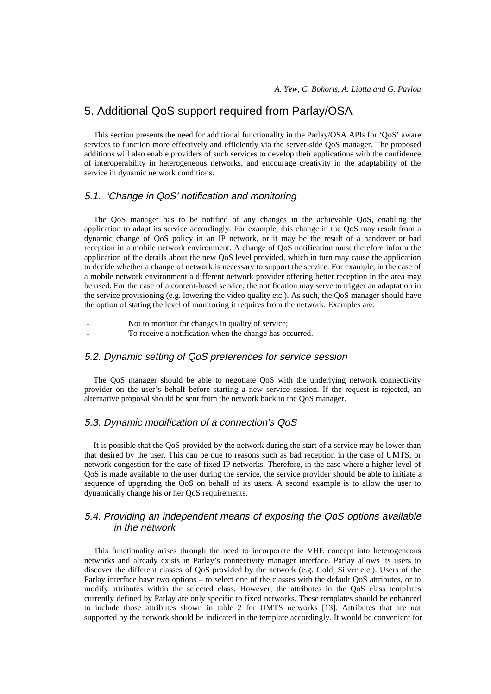# 5. Additional QoS support required from Parlay/OSA

This section presents the need for additional functionality in the Parlay/OSA APIs for 'QoS' aware services to function more effectively and efficiently via the server-side QoS manager. The proposed additions will also enable providers of such services to develop their applications with the confidence of interoperability in heterogeneous networks, and encourage creativity in the adaptability of the service in dynamic network conditions.

## 5.1. 'Change in QoS' notification and monitoring

The QoS manager has to be notified of any changes in the achievable QoS, enabling the application to adapt its service accordingly. For example, this change in the QoS may result from a dynamic change of QoS policy in an IP network, or it may be the result of a handover or bad reception in a mobile network environment. A change of QoS notification must therefore inform the application of the details about the new QoS level provided, which in turn may cause the application to decide whether a change of network is necessary to support the service. For example, in the case of a mobile network environment a different network provider offering better reception in the area may be used. For the case of a content-based service, the notification may serve to trigger an adaptation in the service provisioning (e.g. lowering the video quality etc.). As such, the QoS manager should have the option of stating the level of monitoring it requires from the network. Examples are:

- Not to monitor for changes in quality of service:
- To receive a notification when the change has occurred.

## 5.2. Dynamic setting of QoS preferences for service session

The QoS manager should be able to negotiate QoS with the underlying network connectivity provider on the user's behalf before starting a new service session. If the request is rejected, an alternative proposal should be sent from the network back to the QoS manager.

#### 5.3. Dynamic modification of a connection's QoS

It is possible that the QoS provided by the network during the start of a service may be lower than that desired by the user. This can be due to reasons such as bad reception in the case of UMTS, or network congestion for the case of fixed IP networks. Therefore, in the case where a higher level of QoS is made available to the user during the service, the service provider should be able to initiate a sequence of upgrading the QoS on behalf of its users. A second example is to allow the user to dynamically change his or her QoS requirements.

## 5.4. Providing an independent means of exposing the QoS options available in the network

This functionality arises through the need to incorporate the VHE concept into heterogeneous networks and already exists in Parlay's connectivity manager interface. Parlay allows its users to discover the different classes of QoS provided by the network (e.g. Gold, Silver etc.). Users of the Parlay interface have two options – to select one of the classes with the default QoS attributes, or to modify attributes within the selected class. However, the attributes in the QoS class templates currently defined by Parlay are only specific to fixed networks. These templates should be enhanced to include those attributes shown in table 2 for UMTS networks [13]. Attributes that are not supported by the network should be indicated in the template accordingly. It would be convenient for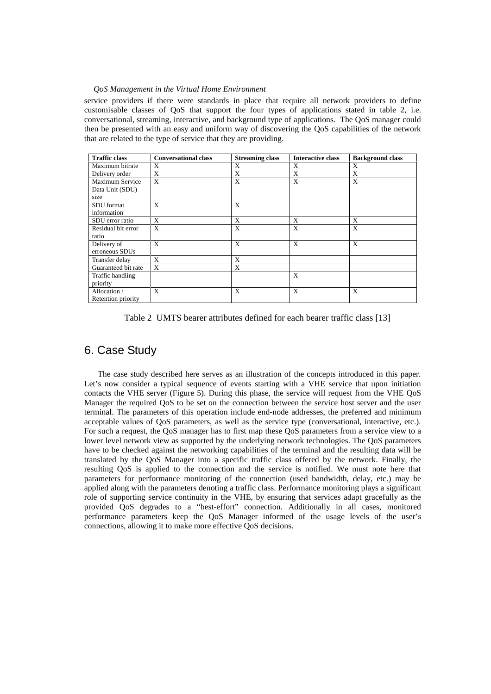service providers if there were standards in place that require all network providers to define customisable classes of QoS that support the four types of applications stated in table 2, i.e. conversational, streaming, interactive, and background type of applications. The QoS manager could then be presented with an easy and uniform way of discovering the QoS capabilities of the network that are related to the type of service that they are providing.

| <b>Traffic class</b>   | <b>Conversational class</b> | <b>Streaming class</b> | <b>Interactive class</b> | <b>Background class</b> |
|------------------------|-----------------------------|------------------------|--------------------------|-------------------------|
| Maximum bitrate        | X                           | X                      | X                        | X                       |
| Delivery order         | X                           | X                      | X                        | X                       |
| <b>Maximum Service</b> | $\boldsymbol{\mathrm{X}}$   | X                      | X                        | X                       |
| Data Unit (SDU)        |                             |                        |                          |                         |
| size                   |                             |                        |                          |                         |
| SDU format             | X                           | X                      |                          |                         |
| information            |                             |                        |                          |                         |
| SDU error ratio        | X                           | X                      | X                        | X                       |
| Residual bit error     | $\mathbf{x}$                | X                      | X                        | X                       |
| ratio                  |                             |                        |                          |                         |
| Delivery of            | $\mathbf{x}$                | X                      | X                        | X                       |
| erroneous SDUs         |                             |                        |                          |                         |
| Transfer delay         | X                           | X                      |                          |                         |
| Guaranteed bit rate    | $\mathbf{x}$                | X                      |                          |                         |
| Traffic handling       |                             |                        | X                        |                         |
| priority               |                             |                        |                          |                         |
| Allocation /           | $\mathbf{x}$                | X                      | X                        | X                       |
| Retention priority     |                             |                        |                          |                         |

Table 2 UMTS bearer attributes defined for each bearer traffic class [13]

# 6. Case Study

 The case study described here serves as an illustration of the concepts introduced in this paper. Let's now consider a typical sequence of events starting with a VHE service that upon initiation contacts the VHE server (Figure 5). During this phase, the service will request from the VHE QoS Manager the required QoS to be set on the connection between the service host server and the user terminal. The parameters of this operation include end-node addresses, the preferred and minimum acceptable values of QoS parameters, as well as the service type (conversational, interactive, etc.). For such a request, the QoS manager has to first map these QoS parameters from a service view to a lower level network view as supported by the underlying network technologies. The QoS parameters have to be checked against the networking capabilities of the terminal and the resulting data will be translated by the QoS Manager into a specific traffic class offered by the network. Finally, the resulting QoS is applied to the connection and the service is notified. We must note here that parameters for performance monitoring of the connection (used bandwidth, delay, etc.) may be applied along with the parameters denoting a traffic class. Performance monitoring plays a significant role of supporting service continuity in the VHE, by ensuring that services adapt gracefully as the provided QoS degrades to a "best-effort" connection. Additionally in all cases, monitored performance parameters keep the QoS Manager informed of the usage levels of the user's connections, allowing it to make more effective QoS decisions.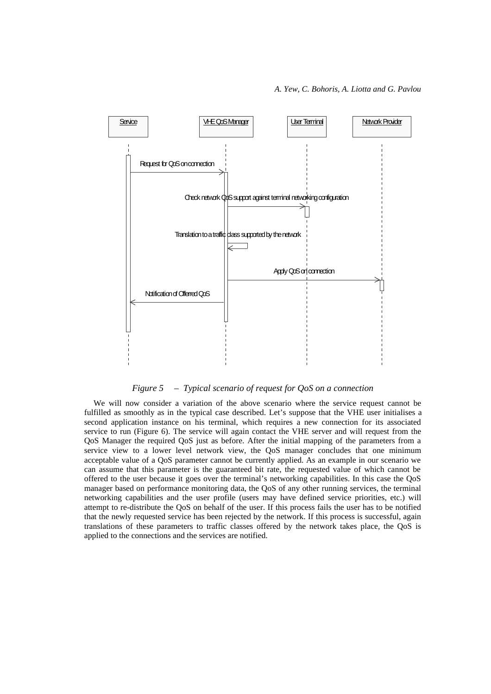

*Figure 5 – Typical scenario of request for QoS on a connection* 

We will now consider a variation of the above scenario where the service request cannot be fulfilled as smoothly as in the typical case described. Let's suppose that the VHE user initialises a second application instance on his terminal, which requires a new connection for its associated service to run (Figure 6). The service will again contact the VHE server and will request from the QoS Manager the required QoS just as before. After the initial mapping of the parameters from a service view to a lower level network view, the QoS manager concludes that one minimum acceptable value of a QoS parameter cannot be currently applied. As an example in our scenario we can assume that this parameter is the guaranteed bit rate, the requested value of which cannot be offered to the user because it goes over the terminal's networking capabilities. In this case the QoS manager based on performance monitoring data, the QoS of any other running services, the terminal networking capabilities and the user profile (users may have defined service priorities, etc.) will attempt to re-distribute the QoS on behalf of the user. If this process fails the user has to be notified that the newly requested service has been rejected by the network. If this process is successful, again translations of these parameters to traffic classes offered by the network takes place, the QoS is applied to the connections and the services are notified.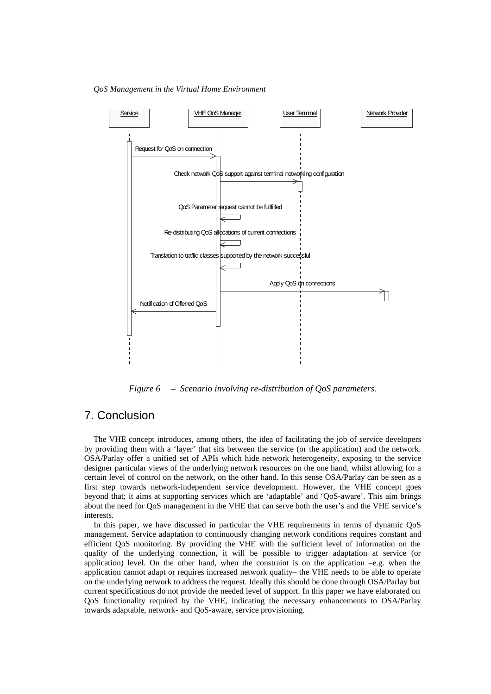*QoS Management in the Virtual Home Environment* 



*Figure 6 – Scenario involving re-distribution of QoS parameters.* 

# 7. Conclusion

The VHE concept introduces, among others, the idea of facilitating the job of service developers by providing them with a 'layer' that sits between the service (or the application) and the network. OSA/Parlay offer a unified set of APIs which hide network heterogeneity, exposing to the service designer particular views of the underlying network resources on the one hand, whilst allowing for a certain level of control on the network, on the other hand. In this sense OSA/Parlay can be seen as a first step towards network-independent service development. However, the VHE concept goes beyond that; it aims at supporting services which are 'adaptable' and 'QoS-aware'. This aim brings about the need for QoS management in the VHE that can serve both the user's and the VHE service's interests.

In this paper, we have discussed in particular the VHE requirements in terms of dynamic QoS management. Service adaptation to continuously changing network conditions requires constant and efficient QoS monitoring. By providing the VHE with the sufficient level of information on the quality of the underlying connection, it will be possible to trigger adaptation at service (or application) level. On the other hand, when the constraint is on the application –e.g. when the application cannot adapt or requires increased network quality– the VHE needs to be able to operate on the underlying network to address the request. Ideally this should be done through OSA/Parlay but current specifications do not provide the needed level of support. In this paper we have elaborated on QoS functionality required by the VHE, indicating the necessary enhancements to OSA/Parlay towards adaptable, network- and QoS-aware, service provisioning.